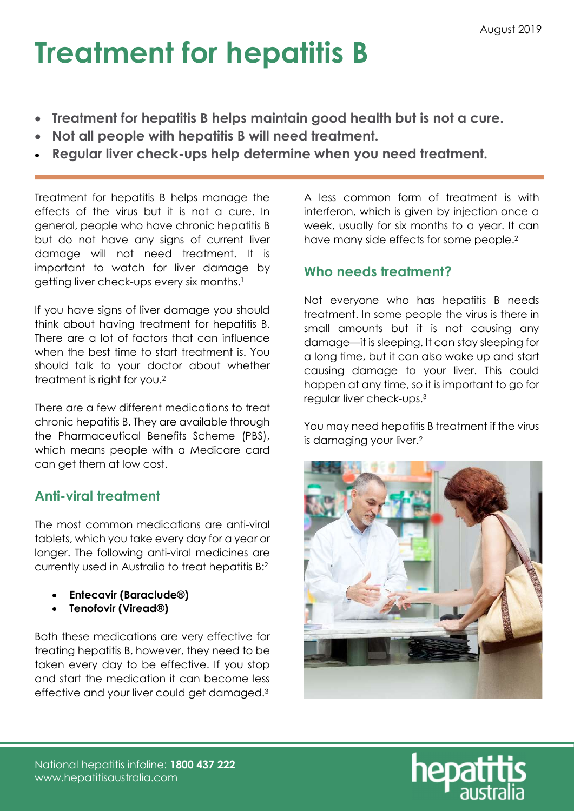# Treatment for hepatitis B

- Treatment for hepatitis B helps maintain good health but is not a cure.
- Not all people with hepatitis B will need treatment.
- Regular liver check-ups help determine when you need treatment.

Treatment for hepatitis B helps manage the effects of the virus but it is not a cure. In general, people who have chronic hepatitis B but do not have any signs of current liver damage will not need treatment. It is important to watch for liver damage by getting liver check-ups every six months.<sup>1</sup>

If you have signs of liver damage you should think about having treatment for hepatitis B. There are a lot of factors that can influence when the best time to start treatment is. You should talk to your doctor about whether treatment is right for you.<sup>2</sup>

There are a few different medications to treat chronic hepatitis B. They are available through the Pharmaceutical Benefits Scheme (PBS), which means people with a Medicare card can get them at low cost.

### Anti-viral treatment

The most common medications are anti-viral tablets, which you take every day for a year or longer. The following anti-viral medicines are currently used in Australia to treat hepatitis B:<sup>2</sup>

- Entecavir (Baraclude®)
- Tenofovir (Viread®)

Both these medications are very effective for treating hepatitis B, however, they need to be taken every day to be effective. If you stop and start the medication it can become less effective and your liver could get damaged.<sup>3</sup>

A less common form of treatment is with interferon, which is given by injection once a week, usually for six months to a year. It can have many side effects for some people.<sup>2</sup>

### Who needs treatment?

Not everyone who has hepatitis B needs treatment. In some people the virus is there in small amounts but it is not causing any damage—it is sleeping. It can stay sleeping for a long time, but it can also wake up and start causing damage to your liver. This could happen at any time, so it is important to go for regular liver check-ups.<sup>3</sup>

You may need hepatitis B treatment if the virus is damaging your liver.<sup>2</sup>